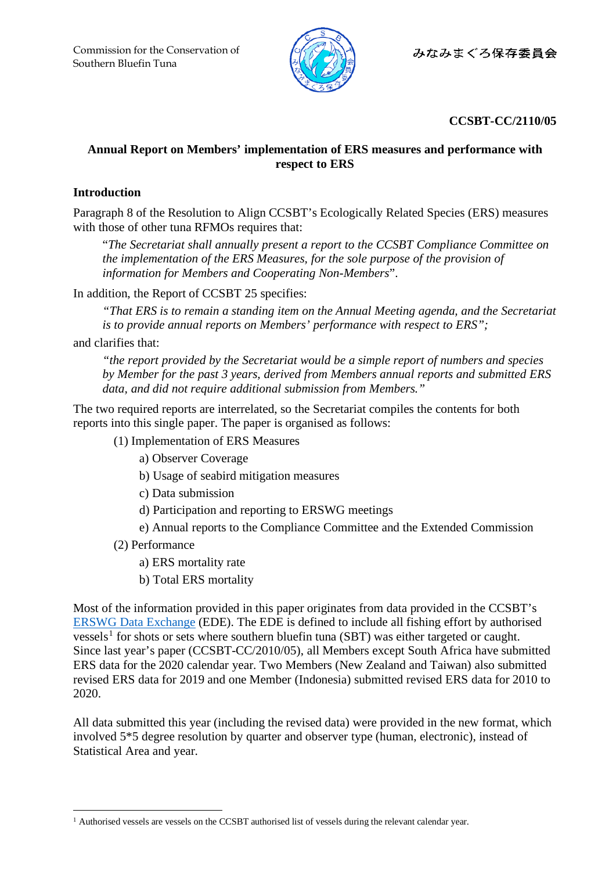

## **CCSBT-CC/2110/05**

## **Annual Report on Members' implementation of ERS measures and performance with respect to ERS**

## **Introduction**

Paragraph 8 of the Resolution to Align CCSBT's Ecologically Related Species (ERS) measures with those of other tuna RFMOs requires that:

"*The Secretariat shall annually present a report to the CCSBT Compliance Committee on the implementation of the ERS Measures, for the sole purpose of the provision of information for Members and Cooperating Non-Members*".

In addition, the Report of CCSBT 25 specifies:

*"That ERS is to remain a standing item on the Annual Meeting agenda, and the Secretariat is to provide annual reports on Members' performance with respect to ERS";*

and clarifies that:

*"the report provided by the Secretariat would be a simple report of numbers and species by Member for the past 3 years, derived from Members annual reports and submitted ERS data, and did not require additional submission from Members."*

The two required reports are interrelated, so the Secretariat compiles the contents for both reports into this single paper. The paper is organised as follows:

- (1) Implementation of ERS Measures
	- a) Observer Coverage
	- b) Usage of seabird mitigation measures
	- c) Data submission
	- d) Participation and reporting to ERSWG meetings
	- e) Annual reports to the Compliance Committee and the Extended Commission
- (2) Performance
	- a) ERS mortality rate
	- b) Total ERS mortality

Most of the information provided in this paper originates from data provided in the CCSBT's [ERSWG Data Exchange](https://www.ccsbt.org/sites/ccsbt.org/files/userfiles/file/docs_english/general/ERSWG%20Data%20Exchange.pdf) (EDE). The EDE is defined to include all fishing effort by authorised vessels<sup>[1](#page-0-0)</sup> for shots or sets where southern bluefin tuna (SBT) was either targeted or caught. Since last year's paper (CCSBT-CC/2010/05), all Members except South Africa have submitted ERS data for the 2020 calendar year. Two Members (New Zealand and Taiwan) also submitted revised ERS data for 2019 and one Member (Indonesia) submitted revised ERS data for 2010 to 2020.

All data submitted this year (including the revised data) were provided in the new format, which involved 5\*5 degree resolution by quarter and observer type (human, electronic), instead of Statistical Area and year.

<span id="page-0-0"></span><sup>&</sup>lt;sup>1</sup> Authorised vessels are vessels on the CCSBT authorised list of vessels during the relevant calendar year.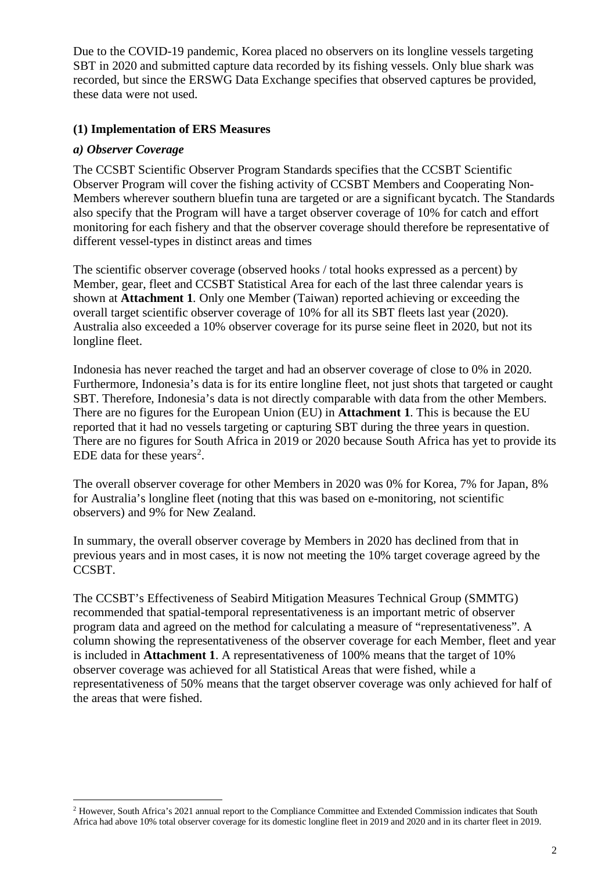Due to the COVID-19 pandemic, Korea placed no observers on its longline vessels targeting SBT in 2020 and submitted capture data recorded by its fishing vessels. Only blue shark was recorded, but since the ERSWG Data Exchange specifies that observed captures be provided, these data were not used.

### **(1) Implementation of ERS Measures**

#### *a) Observer Coverage*

The CCSBT Scientific Observer Program Standards specifies that the CCSBT Scientific Observer Program will cover the fishing activity of CCSBT Members and Cooperating Non-Members wherever southern bluefin tuna are targeted or are a significant bycatch. The Standards also specify that the Program will have a target observer coverage of 10% for catch and effort monitoring for each fishery and that the observer coverage should therefore be representative of different vessel-types in distinct areas and times

The scientific observer coverage (observed hooks / total hooks expressed as a percent) by Member, gear, fleet and CCSBT Statistical Area for each of the last three calendar years is shown at **Attachment 1**. Only one Member (Taiwan) reported achieving or exceeding the overall target scientific observer coverage of 10% for all its SBT fleets last year (2020). Australia also exceeded a 10% observer coverage for its purse seine fleet in 2020, but not its longline fleet.

Indonesia has never reached the target and had an observer coverage of close to 0% in 2020. Furthermore, Indonesia's data is for its entire longline fleet, not just shots that targeted or caught SBT. Therefore, Indonesia's data is not directly comparable with data from the other Members. There are no figures for the European Union (EU) in **Attachment 1**. This is because the EU reported that it had no vessels targeting or capturing SBT during the three years in question. There are no figures for South Africa in 2019 or 2020 because South Africa has yet to provide its EDE data for these years<sup>[2](#page-1-0)</sup>.

The overall observer coverage for other Members in 2020 was 0% for Korea, 7% for Japan, 8% for Australia's longline fleet (noting that this was based on e-monitoring, not scientific observers) and 9% for New Zealand.

In summary, the overall observer coverage by Members in 2020 has declined from that in previous years and in most cases, it is now not meeting the 10% target coverage agreed by the CCSBT.

The CCSBT's Effectiveness of Seabird Mitigation Measures Technical Group (SMMTG) recommended that spatial-temporal representativeness is an important metric of observer program data and agreed on the method for calculating a measure of "representativeness". A column showing the representativeness of the observer coverage for each Member, fleet and year is included in **Attachment 1**. A representativeness of 100% means that the target of 10% observer coverage was achieved for all Statistical Areas that were fished, while a representativeness of 50% means that the target observer coverage was only achieved for half of the areas that were fished.

<span id="page-1-0"></span><sup>&</sup>lt;sup>2</sup> However, South Africa's 2021 annual report to the Compliance Committee and Extended Commission indicates that South Africa had above 10% total observer coverage for its domestic longline fleet in 2019 and 2020 and in its charter fleet in 2019.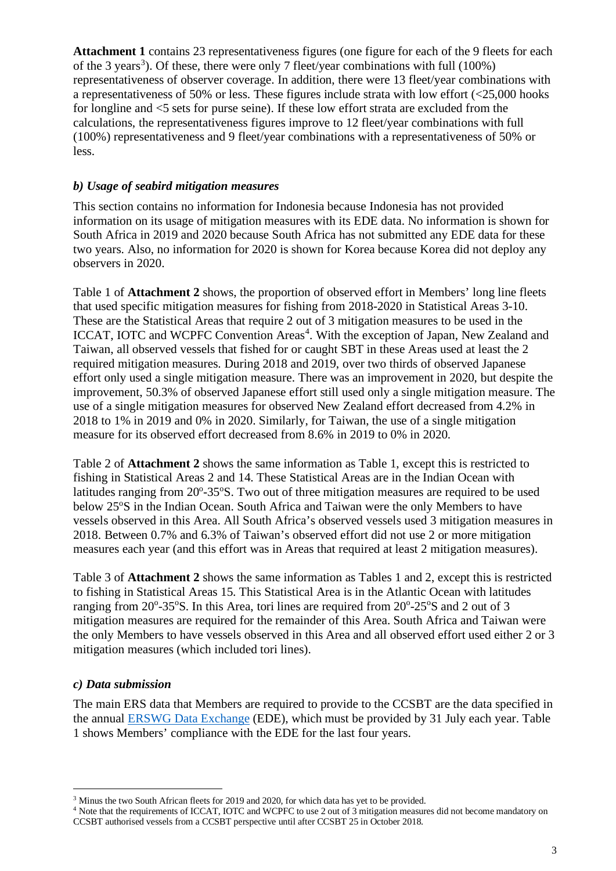Attachment 1 contains 23 representativeness figures (one figure for each of the 9 fleets for each of the [3](#page-2-0) years<sup>3</sup>). Of these, there were only 7 fleet/year combinations with full  $(100\%)$ representativeness of observer coverage. In addition, there were 13 fleet/year combinations with a representativeness of 50% or less. These figures include strata with low effort (<25,000 hooks for longline and <5 sets for purse seine). If these low effort strata are excluded from the calculations, the representativeness figures improve to 12 fleet/year combinations with full (100%) representativeness and 9 fleet/year combinations with a representativeness of 50% or less.

## *b) Usage of seabird mitigation measures*

This section contains no information for Indonesia because Indonesia has not provided information on its usage of mitigation measures with its EDE data. No information is shown for South Africa in 2019 and 2020 because South Africa has not submitted any EDE data for these two years. Also, no information for 2020 is shown for Korea because Korea did not deploy any observers in 2020.

Table 1 of **Attachment 2** shows, the proportion of observed effort in Members' long line fleets that used specific mitigation measures for fishing from 2018-2020 in Statistical Areas 3-10. These are the Statistical Areas that require 2 out of 3 mitigation measures to be used in the ICCAT, IOTC and WCPFC Convention Areas<sup>[4](#page-2-1)</sup>. With the exception of Japan, New Zealand and Taiwan, all observed vessels that fished for or caught SBT in these Areas used at least the 2 required mitigation measures. During 2018 and 2019, over two thirds of observed Japanese effort only used a single mitigation measure. There was an improvement in 2020, but despite the improvement, 50.3% of observed Japanese effort still used only a single mitigation measure. The use of a single mitigation measures for observed New Zealand effort decreased from 4.2% in 2018 to 1% in 2019 and 0% in 2020. Similarly, for Taiwan, the use of a single mitigation measure for its observed effort decreased from 8.6% in 2019 to 0% in 2020.

Table 2 of **Attachment 2** shows the same information as Table 1, except this is restricted to fishing in Statistical Areas 2 and 14. These Statistical Areas are in the Indian Ocean with latitudes ranging from 20°-35°S. Two out of three mitigation measures are required to be used below 25°S in the Indian Ocean. South Africa and Taiwan were the only Members to have vessels observed in this Area. All South Africa's observed vessels used 3 mitigation measures in 2018. Between 0.7% and 6.3% of Taiwan's observed effort did not use 2 or more mitigation measures each year (and this effort was in Areas that required at least 2 mitigation measures).

Table 3 of **Attachment 2** shows the same information as Tables 1 and 2, except this is restricted to fishing in Statistical Areas 15. This Statistical Area is in the Atlantic Ocean with latitudes ranging from 20°-35°S. In this Area, tori lines are required from 20°-25°S and 2 out of 3 mitigation measures are required for the remainder of this Area. South Africa and Taiwan were the only Members to have vessels observed in this Area and all observed effort used either 2 or 3 mitigation measures (which included tori lines).

### *c) Data submission*

The main ERS data that Members are required to provide to the CCSBT are the data specified in the annual [ERSWG Data Exchange](https://www.ccsbt.org/sites/ccsbt.org/files/userfiles/file/docs_english/general/ERSWG%20Data%20Exchange.pdf) (EDE), which must be provided by 31 July each year. Table 1 shows Members' compliance with the EDE for the last four years.

<sup>&</sup>lt;sup>3</sup> Minus the two South African fleets for 2019 and 2020, for which data has yet to be provided.

<span id="page-2-1"></span><span id="page-2-0"></span><sup>&</sup>lt;sup>4</sup> Note that the requirements of ICCAT, IOTC and WCPFC to use 2 out of 3 mitigation measures did not become mandatory on CCSBT authorised vessels from a CCSBT perspective until after CCSBT 25 in October 2018.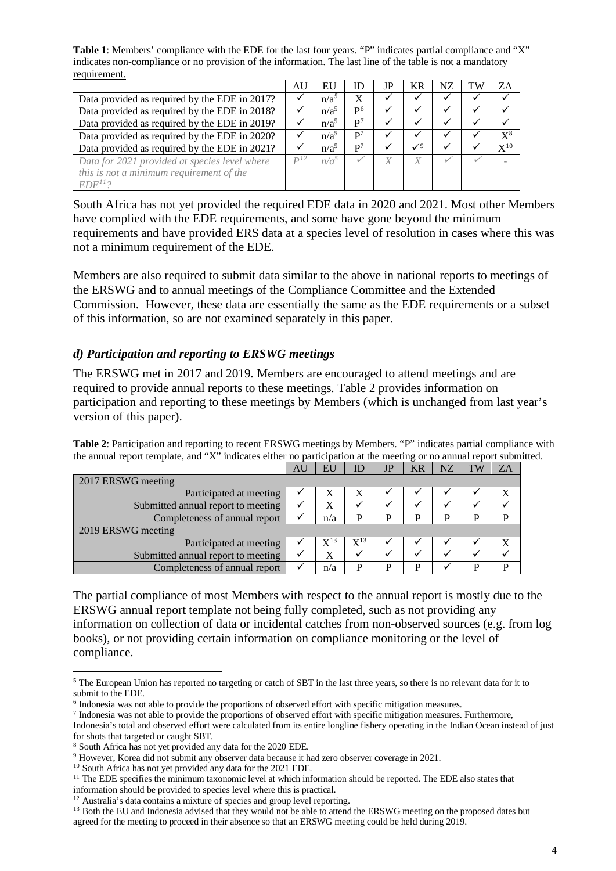**Table 1**: Members' compliance with the EDE for the last four years. "P" indicates partial compliance and "X" indicates non-compliance or no provision of the information. The last line of the table is not a mandatory requirement.

<span id="page-3-0"></span>

|                                               | AU       | EU               | ID             | JP | <b>KR</b>       | NZ | TW | ZA             |
|-----------------------------------------------|----------|------------------|----------------|----|-----------------|----|----|----------------|
| Data provided as required by the EDE in 2017? |          | n/a <sup>5</sup> | X              | √  |                 |    |    |                |
| Data provided as required by the EDE in 2018? |          | n/a <sup>5</sup> | P <sup>6</sup> |    |                 |    |    |                |
| Data provided as required by the EDE in 2019? |          | n/a <sup>5</sup> | P <sup>7</sup> |    |                 |    |    |                |
| Data provided as required by the EDE in 2020? |          | $n/a^5$          | $\mathbf{p}^7$ |    |                 |    |    | $\mathrm{X}^8$ |
| Data provided as required by the EDE in 2021? |          | $n/a^5$          | $\mathbf{p}^7$ | ✔  | $\mathcal{V}^9$ |    |    | $X^{10}$       |
| Data for 2021 provided at species level where | $D^{12}$ | n/a <sup>5</sup> |                |    | X               |    |    |                |
| this is not a minimum requirement of the      |          |                  |                |    |                 |    |    |                |
| $EDE^{11}$ ?                                  |          |                  |                |    |                 |    |    |                |

South Africa has not yet provided the required EDE data in 2020 and 2021. Most other Members have complied with the EDE requirements, and some have gone beyond the minimum requirements and have provided ERS data at a species level of resolution in cases where this was not a minimum requirement of the EDE.

Members are also required to submit data similar to the above in national reports to meetings of the ERSWG and to annual meetings of the Compliance Committee and the Extended Commission. However, these data are essentially the same as the EDE requirements or a subset of this information, so are not examined separately in this paper.

### *d) Participation and reporting to ERSWG meetings*

The ERSWG met in 2017 and 2019. Members are encouraged to attend meetings and are required to provide annual reports to these meetings. Table 2 provides information on participation and reporting to these meetings by Members (which is unchanged from last year's version of this paper).

**Table 2**: Participation and reporting to recent ERSWG meetings by Members. "P" indicates partial compliance with the annual report template, and "X" indicates either no participation at the meeting or no annual report submitted.

|                                    | AU | EU       | ID                | JP | <b>KR</b> | NZ | TW | ΖA |
|------------------------------------|----|----------|-------------------|----|-----------|----|----|----|
| 2017 ERSWG meeting                 |    |          |                   |    |           |    |    |    |
| Participated at meeting            |    |          |                   |    |           |    |    |    |
| Submitted annual report to meeting |    |          |                   |    |           |    |    |    |
| Completeness of annual report      |    | n/a      | p                 | D  | D         | P  | P  | P  |
| 2019 ERSWG meeting                 |    |          |                   |    |           |    |    |    |
| Participated at meeting            |    | $X^{13}$ | $\mathrm{X}^{13}$ |    |           |    |    | X  |
| Submitted annual report to meeting |    |          |                   |    |           |    |    |    |
| Completeness of annual report      |    | n/a      | P                 | D  | D         |    | D  | D  |

<span id="page-3-1"></span>The partial compliance of most Members with respect to the annual report is mostly due to the ERSWG annual report template not being fully completed, such as not providing any information on collection of data or incidental catches from non-observed sources (e.g. from log books), or not providing certain information on compliance monitoring or the level of compliance.

<sup>7</sup> Indonesia was not able to provide the proportions of observed effort with specific mitigation measures. Furthermore,

<span id="page-3-2"></span><sup>5</sup> The European Union has reported no targeting or catch of SBT in the last three years, so there is no relevant data for it to submit to the EDE.

<span id="page-3-3"></span><sup>6</sup> Indonesia was not able to provide the proportions of observed effort with specific mitigation measures.

<span id="page-3-4"></span>Indonesia's total and observed effort were calculated from its entire longline fishery operating in the Indian Ocean instead of just for shots that targeted or caught SBT.

<span id="page-3-5"></span><sup>8</sup> South Africa has not yet provided any data for the 2020 EDE.

<span id="page-3-6"></span><sup>9</sup> However, Korea did not submit any observer data because it had zero observer coverage in 2021.

<span id="page-3-7"></span><sup>10</sup> South Africa has not yet provided any data for the 2021 EDE.

<span id="page-3-8"></span> $11$  The EDE specifies the minimum taxonomic level at which information should be reported. The EDE also states that information should be provided to species level where this is practical.

<span id="page-3-9"></span><sup>&</sup>lt;sup>12</sup> Australia's data contains a mixture of species and group level reporting.

<span id="page-3-10"></span><sup>&</sup>lt;sup>13</sup> Both the EU and Indonesia advised that they would not be able to attend the ERSWG meeting on the proposed dates but agreed for the meeting to proceed in their absence so that an ERSWG meeting could be held during 2019.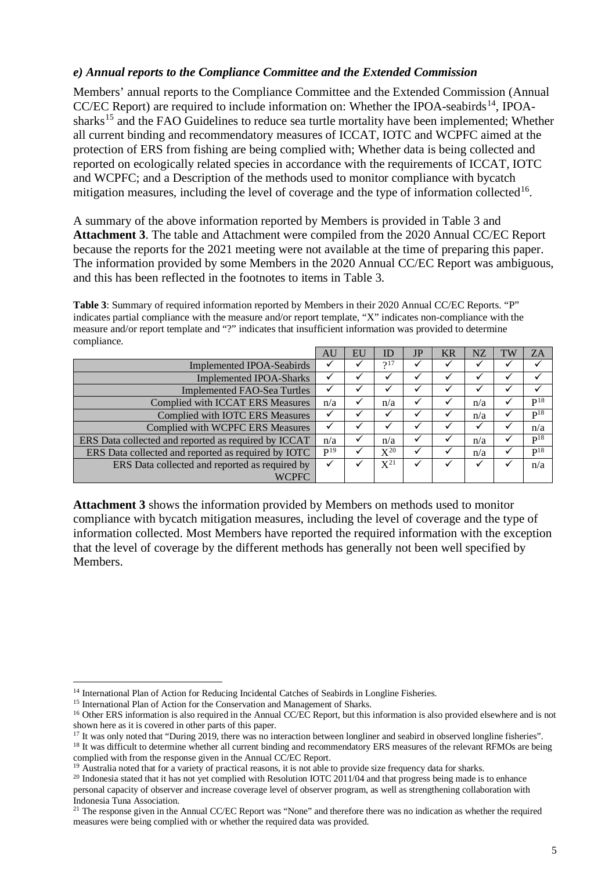#### *e) Annual reports to the Compliance Committee and the Extended Commission*

Members' annual reports to the Compliance Committee and the Extended Commission (Annual CC/EC Report) are required to include information on: Whether the IPOA-seabirds<sup>[14](#page-4-0)</sup>, IPOA-sharks<sup>[15](#page-4-1)</sup> and the FAO Guidelines to reduce sea turtle mortality have been implemented; Whether all current binding and recommendatory measures of ICCAT, IOTC and WCPFC aimed at the protection of ERS from fishing are being complied with; Whether data is being collected and reported on ecologically related species in accordance with the requirements of ICCAT, IOTC and WCPFC; and a Description of the methods used to monitor compliance with bycatch mitigation measures, including the level of coverage and the type of information collected<sup>16</sup>.

A summary of the above information reported by Members is provided in Table 3 and **Attachment 3**. The table and Attachment were compiled from the 2020 Annual CC/EC Report because the reports for the 2021 meeting were not available at the time of preparing this paper. The information provided by some Members in the 2020 Annual CC/EC Report was ambiguous, and this has been reflected in the footnotes to items in Table 3.

**Table 3**: Summary of required information reported by Members in their 2020 Annual CC/EC Reports. "P" indicates partial compliance with the measure and/or report template, "X" indicates non-compliance with the measure and/or report template and "?" indicates that insufficient information was provided to determine compliance.

|                                                      | AU       | EU | ID       | JP | KR | NZ  | <b>TW</b> | <b>ZA</b>       |
|------------------------------------------------------|----------|----|----------|----|----|-----|-----------|-----------------|
| <b>Implemented IPOA-Seabirds</b>                     |          |    | 217      |    |    |     |           |                 |
| <b>Implemented IPOA-Sharks</b>                       |          |    |          | ✓  |    |     |           |                 |
| <b>Implemented FAO-Sea Turtles</b>                   |          |    |          |    |    |     |           |                 |
| <b>Complied with ICCAT ERS Measures</b>              | n/a      |    | n/a      | ✔  |    | n/a | ✓         | $P^{18}$        |
| <b>Complied with IOTC ERS Measures</b>               |          |    |          |    |    | n/a |           | $P^{18}$        |
| Complied with WCPFC ERS Measures                     |          |    |          |    |    |     |           | n/a             |
| ERS Data collected and reported as required by ICCAT | n/a      |    | n/a      |    |    | n/a |           | $P^{18}$        |
| ERS Data collected and reported as required by IOTC  | $P^{19}$ |    | $X^{20}$ |    |    | n/a |           | P <sup>18</sup> |
| ERS Data collected and reported as required by       |          |    | $X^{21}$ | ✓  |    |     |           | n/a             |
| <b>WCPFC</b>                                         |          |    |          |    |    |     |           |                 |

**Attachment 3** shows the information provided by Members on methods used to monitor compliance with bycatch mitigation measures, including the level of coverage and the type of information collected. Most Members have reported the required information with the exception that the level of coverage by the different methods has generally not been well specified by Members.

<span id="page-4-0"></span><sup>&</sup>lt;sup>14</sup> International Plan of Action for Reducing Incidental Catches of Seabirds in Longline Fisheries.

<span id="page-4-1"></span><sup>&</sup>lt;sup>15</sup> International Plan of Action for the Conservation and Management of Sharks.

<span id="page-4-2"></span><sup>&</sup>lt;sup>16</sup> Other ERS information is also required in the Annual CC/EC Report, but this information is also provided elsewhere and is not shown here as it is covered in other parts of this paper.

<sup>&</sup>lt;sup>17</sup> It was only noted that "During 2019, there was no interaction between longliner and seabird in observed longline fisheries".

<span id="page-4-4"></span><span id="page-4-3"></span><sup>&</sup>lt;sup>18</sup> It was difficult to determine whether all current binding and recommendatory ERS measures of the relevant RFMOs are being complied with from the response given in the Annual CC/EC Report.

<span id="page-4-5"></span><sup>&</sup>lt;sup>19</sup> Australia noted that for a variety of practical reasons, it is not able to provide size frequency data for sharks.

<span id="page-4-6"></span><sup>&</sup>lt;sup>20</sup> Indonesia stated that it has not yet complied with Resolution IOTC  $2011/04$  and that progress being made is to enhance personal capacity of observer and increase coverage level of observer program, as well as strengthening collaboration with Indonesia Tuna Association.

<span id="page-4-7"></span> $21$  The response given in the Annual CC/EC Report was "None" and therefore there was no indication as whether the required measures were being complied with or whether the required data was provided.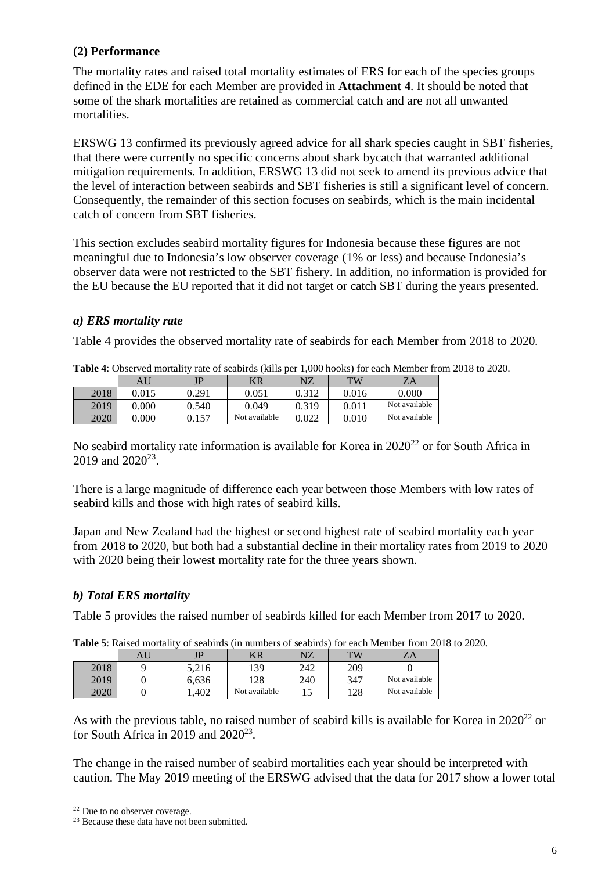# **(2) Performance**

The mortality rates and raised total mortality estimates of ERS for each of the species groups defined in the EDE for each Member are provided in **Attachment 4**. It should be noted that some of the shark mortalities are retained as commercial catch and are not all unwanted mortalities.

ERSWG 13 confirmed its previously agreed advice for all shark species caught in SBT fisheries, that there were currently no specific concerns about shark bycatch that warranted additional mitigation requirements. In addition, ERSWG 13 did not seek to amend its previous advice that the level of interaction between seabirds and SBT fisheries is still a significant level of concern. Consequently, the remainder of this section focuses on seabirds, which is the main incidental catch of concern from SBT fisheries.

This section excludes seabird mortality figures for Indonesia because these figures are not meaningful due to Indonesia's low observer coverage (1% or less) and because Indonesia's observer data were not restricted to the SBT fishery. In addition, no information is provided for the EU because the EU reported that it did not target or catch SBT during the years presented.

### *a) ERS mortality rate*

Table 4 provides the observed mortality rate of seabirds for each Member from 2018 to 2020.

|      |       |       |               |       | TMO OI DOMOILGO (INIID DOL 11000 IIOOIN)) TOI OMOILI!IOIIIOOI II |               |
|------|-------|-------|---------------|-------|------------------------------------------------------------------|---------------|
|      |       | JP    | KR            | NZ    | TW                                                               | ZΑ            |
| 2018 | 0.015 | 0.291 | 0.051         | 0.312 | 0.016                                                            | 0.000         |
| 2019 | 0.000 | 0.540 | 0.049         | 0.319 | 0.011                                                            | Not available |
| 2020 | 0.000 | 0.157 | Not available | 0.022 | 0.010                                                            | Not available |

**Table 4**: Observed mortality rate of seabirds (kills per 1,000 hooks) for each Member from 2018 to 2020.

<span id="page-5-1"></span><span id="page-5-0"></span>No seabird mortality rate information is available for Korea in  $2020^{22}$  $2020^{22}$  $2020^{22}$  or for South Africa in 2019 and 2020<sup>23</sup>

There is a large magnitude of difference each year between those Members with low rates of seabird kills and those with high rates of seabird kills.

Japan and New Zealand had the highest or second highest rate of seabird mortality each year from 2018 to 2020, but both had a substantial decline in their mortality rates from 2019 to 2020 with 2020 being their lowest mortality rate for the three years shown.

# *b) Total ERS mortality*

Table 5 provides the raised number of seabirds killed for each Member from 2017 to 2020.

|      | AU | TP.   | ΚR            | NZ  | TW  | ZΑ            |
|------|----|-------|---------------|-----|-----|---------------|
| 2018 |    | 5.216 | 139           | 242 | 209 |               |
| 2019 |    | 6.636 | 128           | 240 | 347 | Not available |
| 2020 |    | .402  | Not available | ⊥J  | 128 | Not available |

**Table 5**: Raised mortality of seabirds (in numbers of seabirds) for each Member from 2018 to 2020.

As with the previous table, no raised number of seabird kills is available for Korea in  $2020^{22}$  or for South Africa in 2019 and  $2020^{23}$ .

The change in the raised number of seabird mortalities each year should be interpreted with caution. The May 2019 meeting of the ERSWG advised that the data for 2017 show a lower total

<span id="page-5-2"></span><sup>22</sup> Due to no observer coverage.

<span id="page-5-3"></span><sup>&</sup>lt;sup>23</sup> Because these data have not been submitted.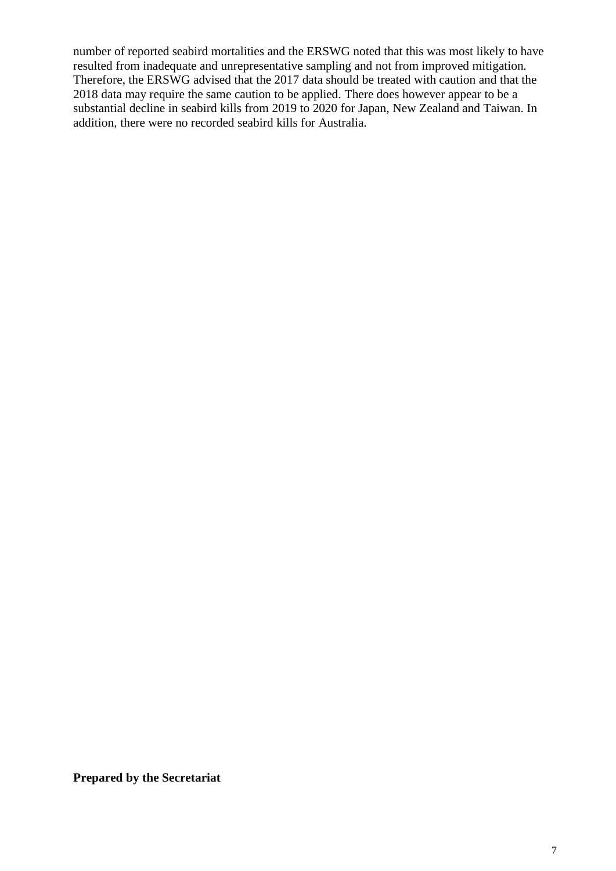number of reported seabird mortalities and the ERSWG noted that this was most likely to have resulted from inadequate and unrepresentative sampling and not from improved mitigation. Therefore, the ERSWG advised that the 2017 data should be treated with caution and that the 2018 data may require the same caution to be applied. There does however appear to be a substantial decline in seabird kills from 2019 to 2020 for Japan, New Zealand and Taiwan. In addition, there were no recorded seabird kills for Australia.

**Prepared by the Secretariat**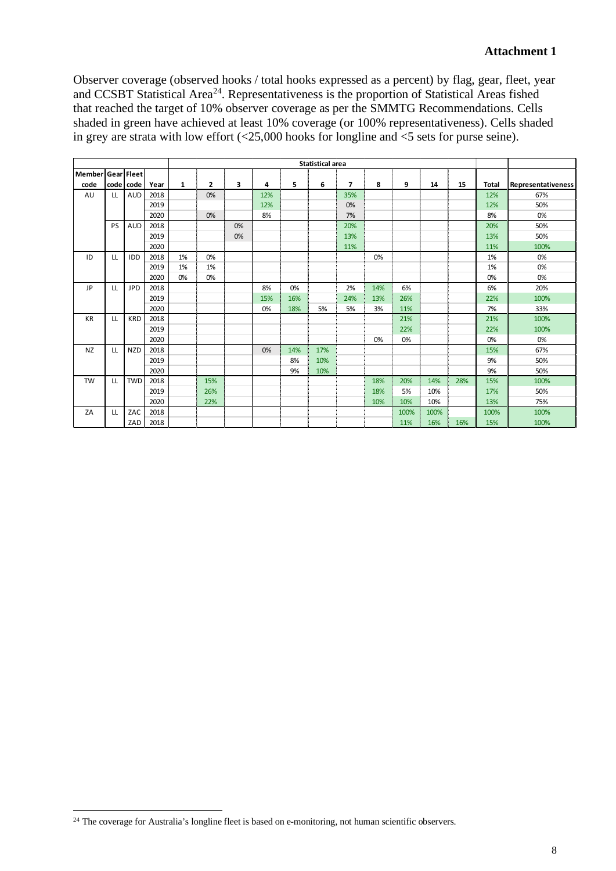Observer coverage (observed hooks / total hooks expressed as a percent) by flag, gear, fleet, year and CCSBT Statistical Area<sup>[24](#page-7-0)</sup>. Representativeness is the proportion of Statistical Areas fished that reached the target of 10% observer coverage as per the SMMTG Recommendations. Cells shaded in green have achieved at least 10% coverage (or 100% representativeness). Cells shaded in grey are strata with low effort (<25,000 hooks for longline and <5 sets for purse seine).

| <b>Statistical area</b> |     |            |      |              |                |    |     |     |     |                          |     |      |      |     |              |                    |
|-------------------------|-----|------------|------|--------------|----------------|----|-----|-----|-----|--------------------------|-----|------|------|-----|--------------|--------------------|
| Member Gear Fleet       |     |            |      |              |                |    |     |     |     |                          |     |      |      |     |              |                    |
| code                    |     | code code  | Year | $\mathbf{1}$ | $\overline{2}$ | 3  | 4   | 5   | 6   | $\overline{\phantom{a}}$ | 8   | 9    | 14   | 15  | <b>Total</b> | Representativeness |
| AU                      | LL  | AUD        | 2018 |              | 0%             |    | 12% |     |     | 35%                      |     |      |      |     | 12%          | 67%                |
|                         |     |            | 2019 |              |                |    | 12% |     |     | 0%                       |     |      |      |     | 12%          | 50%                |
|                         |     |            | 2020 |              | 0%             |    | 8%  |     |     | 7%                       |     |      |      |     | 8%           | 0%                 |
|                         | PS  | <b>AUD</b> | 2018 |              |                | 0% |     |     |     | 20%                      |     |      |      |     | 20%          | 50%                |
|                         |     |            | 2019 |              |                | 0% |     |     |     | 13%                      |     |      |      |     | 13%          | 50%                |
|                         |     |            | 2020 |              |                |    |     |     |     | 11%                      |     |      |      |     | 11%          | 100%               |
| ID                      | LL  | IDD        | 2018 | 1%           | 0%             |    |     |     |     |                          | 0%  |      |      |     | 1%           | 0%                 |
|                         |     |            | 2019 | 1%           | 1%             |    |     |     |     |                          |     |      |      |     | 1%           | 0%                 |
|                         |     |            | 2020 | 0%           | 0%             |    |     |     |     |                          |     |      |      |     | 0%           | 0%                 |
| <b>JP</b>               | LL  | <b>JPD</b> | 2018 |              |                |    | 8%  | 0%  |     | 2%                       | 14% | 6%   |      |     | 6%           | 20%                |
|                         |     |            | 2019 |              |                |    | 15% | 16% |     | 24%                      | 13% | 26%  |      |     | 22%          | 100%               |
|                         |     |            | 2020 |              |                |    | 0%  | 18% | 5%  | 5%                       | 3%  | 11%  |      |     | 7%           | 33%                |
| <b>KR</b>               | LL. | <b>KRD</b> | 2018 |              |                |    |     |     |     |                          |     | 21%  |      |     | 21%          | 100%               |
|                         |     |            | 2019 |              |                |    |     |     |     |                          |     | 22%  |      |     | 22%          | 100%               |
|                         |     |            | 2020 |              |                |    |     |     |     |                          | 0%  | 0%   |      |     | 0%           | 0%                 |
| <b>NZ</b>               | LL. | <b>NZD</b> | 2018 |              |                |    | 0%  | 14% | 17% |                          |     |      |      |     | 15%          | 67%                |
|                         |     |            | 2019 |              |                |    |     | 8%  | 10% |                          |     |      |      |     | 9%           | 50%                |
|                         |     |            | 2020 |              |                |    |     | 9%  | 10% |                          |     |      |      |     | 9%           | 50%                |
| <b>TW</b>               | LL. | <b>TWD</b> | 2018 |              | 15%            |    |     |     |     |                          | 18% | 20%  | 14%  | 28% | 15%          | 100%               |
|                         |     |            | 2019 |              | 26%            |    |     |     |     |                          | 18% | 5%   | 10%  |     | 17%          | 50%                |
|                         |     |            | 2020 |              | 22%            |    |     |     |     |                          | 10% | 10%  | 10%  |     | 13%          | 75%                |
| ZA                      | LL. | ZAC        | 2018 |              |                |    |     |     |     |                          |     | 100% | 100% |     | 100%         | 100%               |
|                         |     | ZAD        | 2018 |              |                |    |     |     |     |                          |     | 11%  | 16%  | 16% | 15%          | 100%               |

<span id="page-7-0"></span><sup>&</sup>lt;sup>24</sup> The coverage for Australia's longline fleet is based on e-monitoring, not human scientific observers.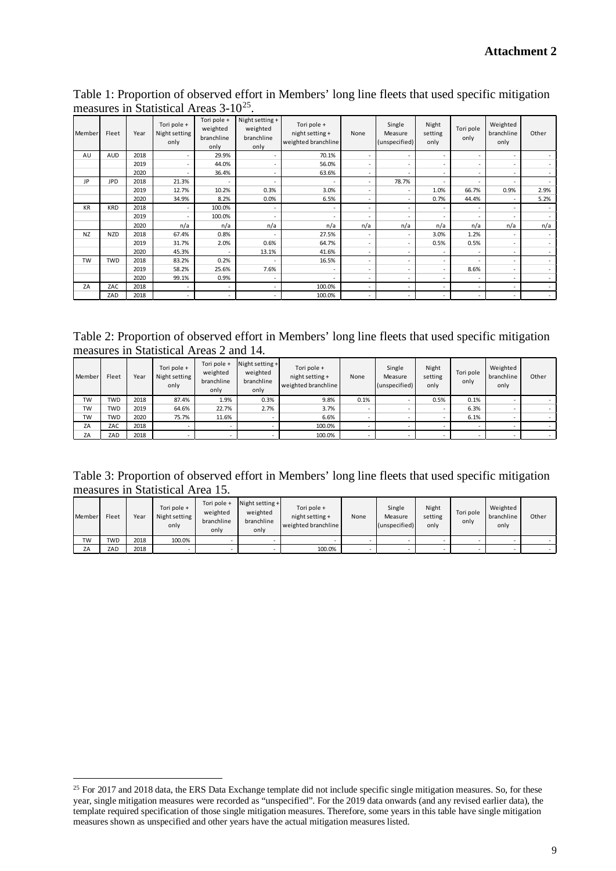Table 1: Proportion of observed effort in Members' long line fleets that used specific mitigation measures in Statistical Areas 3-10[25.](#page-8-0)

| Member    | Fleet      | Year | Tori pole +<br>Night setting<br>only | Tori pole +<br>weighted<br>branchline<br>only | Night setting +<br>weighted<br>branchline<br>only | Tori pole +<br>night setting +<br>weighted branchline | None                     | Single<br>Measure<br>(unspecified) | Night<br>setting<br>only | Tori pole<br>only | Weighted<br>branchline<br>only | Other  |
|-----------|------------|------|--------------------------------------|-----------------------------------------------|---------------------------------------------------|-------------------------------------------------------|--------------------------|------------------------------------|--------------------------|-------------------|--------------------------------|--------|
| AU        | AUD        | 2018 |                                      | 29.9%                                         | ٠                                                 | 70.1%                                                 | ٠                        | ٠                                  | $\overline{\phantom{a}}$ | $\sim$            | $\overline{\phantom{a}}$       |        |
|           |            | 2019 |                                      | 44.0%                                         | $\overline{\phantom{a}}$                          | 56.0%                                                 | ٠                        |                                    | $\overline{\phantom{a}}$ | ٠                 | $\overline{\phantom{a}}$       | $\sim$ |
|           |            | 2020 |                                      | 36.4%                                         | ٠                                                 | 63.6%                                                 | ٠                        |                                    | $\overline{\phantom{a}}$ |                   | $\sim$                         | $\sim$ |
| JP        | <b>JPD</b> | 2018 | 21.3%                                |                                               | н.                                                | -                                                     | $\overline{\phantom{a}}$ | 78.7%                              |                          |                   | $\overline{\phantom{a}}$       | $\sim$ |
|           |            | 2019 | 12.7%                                | 10.2%                                         | 0.3%                                              | 3.0%                                                  | $\sim$                   | $\overline{\phantom{a}}$           | 1.0%                     | 66.7%             | 0.9%                           | 2.9%   |
|           |            | 2020 | 34.9%                                | 8.2%                                          | 0.0%                                              | 6.5%                                                  | $\overline{\phantom{a}}$ | $\overline{\phantom{a}}$           | 0.7%                     | 44.4%             | $\sim$                         | 5.2%   |
| <b>KR</b> | <b>KRD</b> | 2018 |                                      | 100.0%                                        | $\overline{\phantom{a}}$                          | ٠                                                     | ٠                        |                                    |                          |                   | $\overline{\phantom{a}}$       | $\sim$ |
|           |            | 2019 |                                      | 100.0%                                        |                                                   |                                                       |                          |                                    |                          |                   | $\overline{\phantom{a}}$       | $\sim$ |
|           |            | 2020 | n/a                                  | n/a                                           | n/a                                               | n/a                                                   | n/a                      | n/a                                | n/a                      | n/a               | n/a                            | n/a    |
| <b>NZ</b> | <b>NZD</b> | 2018 | 67.4%                                | 0.8%                                          | $\overline{\phantom{a}}$                          | 27.5%                                                 | $\overline{\phantom{a}}$ | $\overline{\phantom{a}}$           | 3.0%                     | 1.2%              | $\sim$                         | $\sim$ |
|           |            | 2019 | 31.7%                                | 2.0%                                          | 0.6%                                              | 64.7%                                                 | $\overline{\phantom{a}}$ | $\overline{\phantom{a}}$           | 0.5%                     | 0.5%              | $\overline{\phantom{a}}$       | $\sim$ |
|           |            | 2020 | 45.3%                                | $\overline{\phantom{a}}$                      | 13.1%                                             | 41.6%                                                 | $\overline{\phantom{a}}$ | $\overline{\phantom{a}}$           | ٠                        | ٠                 | $\sim$                         | $\sim$ |
| <b>TW</b> | <b>TWD</b> | 2018 | 83.2%                                | 0.2%                                          | $\overline{\phantom{a}}$                          | 16.5%                                                 | ٠                        | $\overline{\phantom{a}}$           | ٠                        |                   | $\overline{a}$                 | $\sim$ |
|           |            | 2019 | 58.2%                                | 25.6%                                         | 7.6%                                              | ٠                                                     | $\overline{\phantom{a}}$ | $\overline{\phantom{a}}$           | ٠                        | 8.6%              | $\overline{\phantom{a}}$       | $\sim$ |
|           |            | 2020 | 99.1%                                | 0.9%                                          | $\overline{\phantom{a}}$                          | ٠                                                     | $\sim$                   | $\overline{\phantom{a}}$           | ٠                        | ٠                 | $\sim$                         | $\sim$ |
| ZA        | ZAC        | 2018 | ٠                                    | $\overline{\phantom{a}}$                      | $\overline{\phantom{a}}$                          | 100.0%                                                | $\overline{\phantom{a}}$ | $\overline{\phantom{a}}$           | ٠                        | ٠                 | $\overline{\phantom{a}}$       | $\sim$ |
|           | ZAD        | 2018 | ٠                                    | $\overline{\phantom{a}}$                      | $\sim$                                            | 100.0%                                                | $\overline{\phantom{a}}$ | $\overline{\phantom{a}}$           | ٠                        | ٠                 | $\overline{\phantom{a}}$       | $\sim$ |

Table 2: Proportion of observed effort in Members' long line fleets that used specific mitigation measures in Statistical Areas 2 and 14.

| Member    | Fleet      | Year | Tori pole +<br>Night setting<br>only | Tori pole +<br>weighted<br>branchline<br>only | Night setting $+$<br>weighted<br>branchline<br>only | Tori pole +<br>night setting +<br>weighted branchline | None                     | Single<br>Measure<br>(unspecified) | Night<br>setting<br>only | Tori pole<br>only | Weighted<br>branchline<br>only | Other |
|-----------|------------|------|--------------------------------------|-----------------------------------------------|-----------------------------------------------------|-------------------------------------------------------|--------------------------|------------------------------------|--------------------------|-------------------|--------------------------------|-------|
| <b>TW</b> | <b>TWD</b> | 2018 | 87.4%                                | 1.9%                                          | 0.3%                                                | 9.8%                                                  | 0.1%                     |                                    | 0.5%                     | 0.1%              |                                |       |
| TW        | <b>TWD</b> | 2019 | 64.6%                                | 22.7%                                         | 2.7%                                                | 3.7%                                                  |                          |                                    |                          | 6.3%              |                                |       |
| <b>TW</b> | <b>TWD</b> | 2020 | 75.7%                                | 11.6%                                         |                                                     | 6.6%                                                  | $\overline{\phantom{a}}$ |                                    | $\sim$                   | 6.1%              |                                |       |
| ZA        | ZAC        | 2018 |                                      |                                               |                                                     | 100.0%                                                |                          |                                    |                          |                   |                                |       |
| ZA        | ZAD        | 2018 |                                      |                                               |                                                     | 100.0%                                                |                          |                                    |                          |                   |                                |       |

Table 3: Proportion of observed effort in Members' long line fleets that used specific mitigation measures in Statistical Area 15.

| Member    | Fleet | Year | Tori pole +<br>Night setting<br>only | Tori pole +<br>weighted<br>branchline<br>only | Night setting +<br>weighted<br>branchline<br>only | Tori pole +<br>night setting +<br>weighted branchline | None | Single<br>Measure<br>(unspecified) | Night<br>setting<br>only | Tori pole<br>only | Weighted<br>branchline<br>only | Other |
|-----------|-------|------|--------------------------------------|-----------------------------------------------|---------------------------------------------------|-------------------------------------------------------|------|------------------------------------|--------------------------|-------------------|--------------------------------|-------|
| <b>TW</b> | TWD   | 2018 | 100.0%                               |                                               |                                                   |                                                       |      |                                    |                          |                   |                                |       |
| ZA        | ZAD   | 2018 |                                      |                                               |                                                   | 100.0%                                                |      |                                    |                          |                   |                                |       |

<span id="page-8-0"></span><sup>&</sup>lt;sup>25</sup> For 2017 and 2018 data, the ERS Data Exchange template did not include specific single mitigation measures. So, for these year, single mitigation measures were recorded as "unspecified". For the 2019 data onwards (and any revised earlier data), the template required specification of those single mitigation measures. Therefore, some years in this table have single mitigation measures shown as unspecified and other years have the actual mitigation measures listed.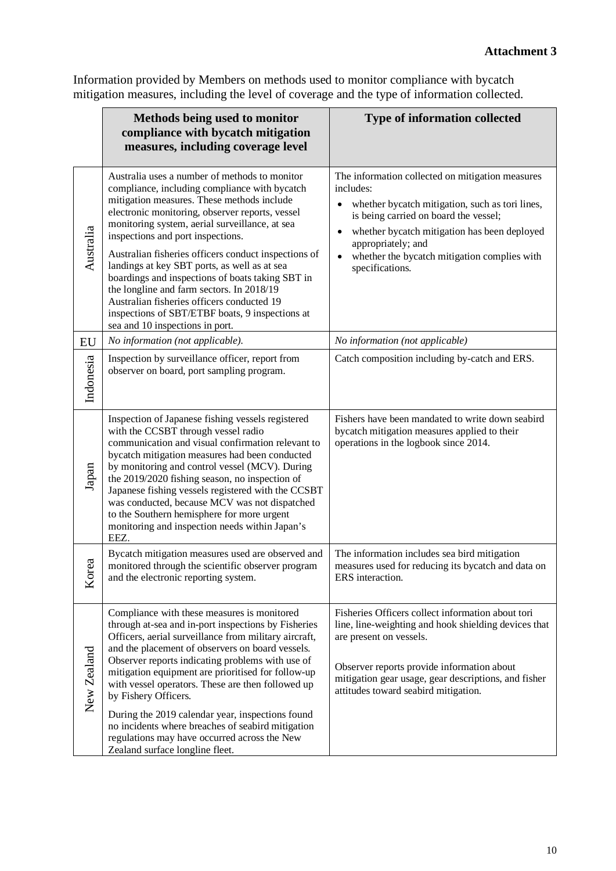Information provided by Members on methods used to monitor compliance with bycatch mitigation measures, including the level of coverage and the type of information collected.

|                     | Methods being used to monitor<br>compliance with bycatch mitigation<br>measures, including coverage level                                                                                                                                                                                                                                                                                                                                                                                                                                                                                                                           | Type of information collected                                                                                                                                                                                                                                                                                   |
|---------------------|-------------------------------------------------------------------------------------------------------------------------------------------------------------------------------------------------------------------------------------------------------------------------------------------------------------------------------------------------------------------------------------------------------------------------------------------------------------------------------------------------------------------------------------------------------------------------------------------------------------------------------------|-----------------------------------------------------------------------------------------------------------------------------------------------------------------------------------------------------------------------------------------------------------------------------------------------------------------|
| Australia           | Australia uses a number of methods to monitor<br>compliance, including compliance with bycatch<br>mitigation measures. These methods include<br>electronic monitoring, observer reports, vessel<br>monitoring system, aerial surveillance, at sea<br>inspections and port inspections.<br>Australian fisheries officers conduct inspections of<br>landings at key SBT ports, as well as at sea<br>boardings and inspections of boats taking SBT in<br>the longline and farm sectors. In 2018/19<br>Australian fisheries officers conducted 19<br>inspections of SBT/ETBF boats, 9 inspections at<br>sea and 10 inspections in port. | The information collected on mitigation measures<br>includes:<br>whether bycatch mitigation, such as tori lines,<br>is being carried on board the vessel;<br>whether bycatch mitigation has been deployed<br>appropriately; and<br>whether the bycatch mitigation complies with<br>$\bullet$<br>specifications. |
| EU                  | No information (not applicable).                                                                                                                                                                                                                                                                                                                                                                                                                                                                                                                                                                                                    | No information (not applicable)                                                                                                                                                                                                                                                                                 |
| Indonesia           | Inspection by surveillance officer, report from<br>observer on board, port sampling program.                                                                                                                                                                                                                                                                                                                                                                                                                                                                                                                                        | Catch composition including by-catch and ERS.                                                                                                                                                                                                                                                                   |
| Japan               | Inspection of Japanese fishing vessels registered<br>with the CCSBT through vessel radio<br>communication and visual confirmation relevant to<br>bycatch mitigation measures had been conducted<br>by monitoring and control vessel (MCV). During<br>the 2019/2020 fishing season, no inspection of<br>Japanese fishing vessels registered with the CCSBT<br>was conducted, because MCV was not dispatched<br>to the Southern hemisphere for more urgent<br>monitoring and inspection needs within Japan's<br>EEZ.                                                                                                                  | Fishers have been mandated to write down seabird<br>bycatch mitigation measures applied to their<br>operations in the logbook since 2014.                                                                                                                                                                       |
| $\mathbf{a}$<br>Κoι | Bycatch mitigation measures used are observed and<br>monitored through the scientific observer program<br>and the electronic reporting system.                                                                                                                                                                                                                                                                                                                                                                                                                                                                                      | The information includes sea bird mitigation<br>measures used for reducing its bycatch and data on<br>ERS interaction.                                                                                                                                                                                          |
| New Zealand         | Compliance with these measures is monitored<br>through at-sea and in-port inspections by Fisheries<br>Officers, aerial surveillance from military aircraft,<br>and the placement of observers on board vessels.<br>Observer reports indicating problems with use of<br>mitigation equipment are prioritised for follow-up<br>with vessel operators. These are then followed up<br>by Fishery Officers.<br>During the 2019 calendar year, inspections found<br>no incidents where breaches of seabird mitigation<br>regulations may have occurred across the New<br>Zealand surface longline fleet.                                  | Fisheries Officers collect information about tori<br>line, line-weighting and hook shielding devices that<br>are present on vessels.<br>Observer reports provide information about<br>mitigation gear usage, gear descriptions, and fisher<br>attitudes toward seabird mitigation.                              |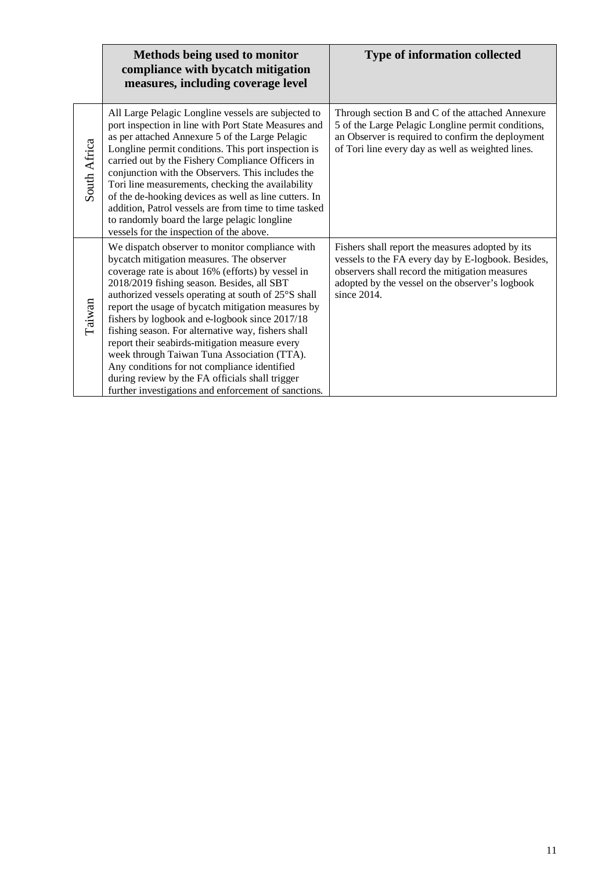|              | Methods being used to monitor<br>compliance with bycatch mitigation<br>measures, including coverage level                                                                                                                                                                                                                                                                                                                                                                                                                                                                                                                                                                        | <b>Type of information collected</b>                                                                                                                                                                                       |
|--------------|----------------------------------------------------------------------------------------------------------------------------------------------------------------------------------------------------------------------------------------------------------------------------------------------------------------------------------------------------------------------------------------------------------------------------------------------------------------------------------------------------------------------------------------------------------------------------------------------------------------------------------------------------------------------------------|----------------------------------------------------------------------------------------------------------------------------------------------------------------------------------------------------------------------------|
| South Africa | All Large Pelagic Longline vessels are subjected to<br>port inspection in line with Port State Measures and<br>as per attached Annexure 5 of the Large Pelagic<br>Longline permit conditions. This port inspection is<br>carried out by the Fishery Compliance Officers in<br>conjunction with the Observers. This includes the<br>Tori line measurements, checking the availability<br>of the de-hooking devices as well as line cutters. In<br>addition, Patrol vessels are from time to time tasked<br>to randomly board the large pelagic longline<br>vessels for the inspection of the above.                                                                               | Through section B and C of the attached Annexure<br>5 of the Large Pelagic Longline permit conditions,<br>an Observer is required to confirm the deployment<br>of Tori line every day as well as weighted lines.           |
| Taiwan       | We dispatch observer to monitor compliance with<br>bycatch mitigation measures. The observer<br>coverage rate is about 16% (efforts) by vessel in<br>2018/2019 fishing season. Besides, all SBT<br>authorized vessels operating at south of 25°S shall<br>report the usage of bycatch mitigation measures by<br>fishers by logbook and e-logbook since 2017/18<br>fishing season. For alternative way, fishers shall<br>report their seabirds-mitigation measure every<br>week through Taiwan Tuna Association (TTA).<br>Any conditions for not compliance identified<br>during review by the FA officials shall trigger<br>further investigations and enforcement of sanctions. | Fishers shall report the measures adopted by its<br>vessels to the FA every day by E-logbook. Besides,<br>observers shall record the mitigation measures<br>adopted by the vessel on the observer's logbook<br>since 2014. |